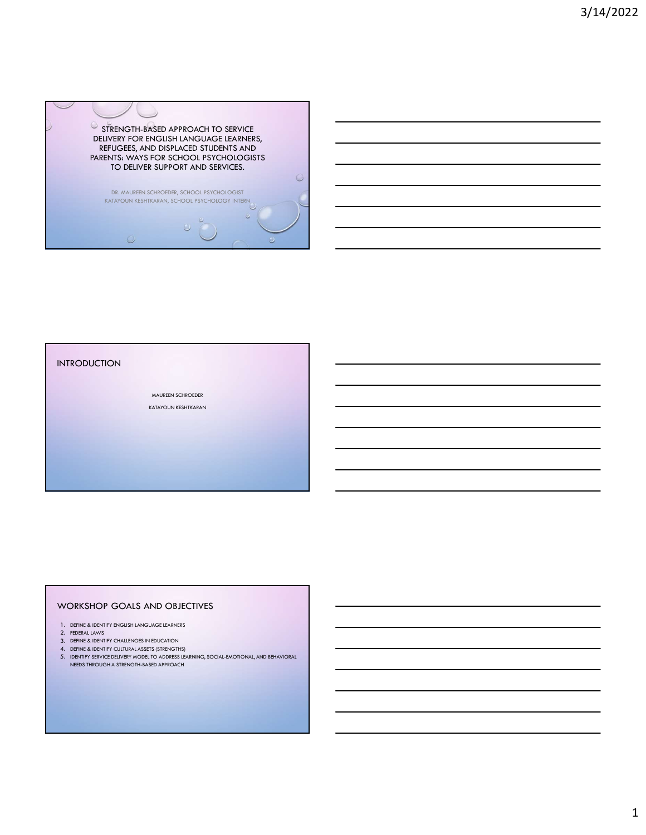

### INTRODUCTION

MAUREEN SCHROEDER KATAYOUN KESHTKARAN

### WORKSHOP GOALS AND OBJECTIVES

- 1. DEFINE & IDENTIFY ENGLISH LANGUAGE LEARNERS
- 2. FEDERAL LAWS
- 3. DEFINE & IDENTIFY CHALLENGES IN EDUCATION
- 4. DEFINE & IDENTIFY CULTURAL ASSETS (STRENGTHS)
- 5. IDENTIFY SERVICE DELIVERY MODEL TO ADDRESS LEARNING, SOCIAL-EMOTIONAL, AND BEHAVIORAL NEEDS THROUGH A STRENGTH-BASED APPROACH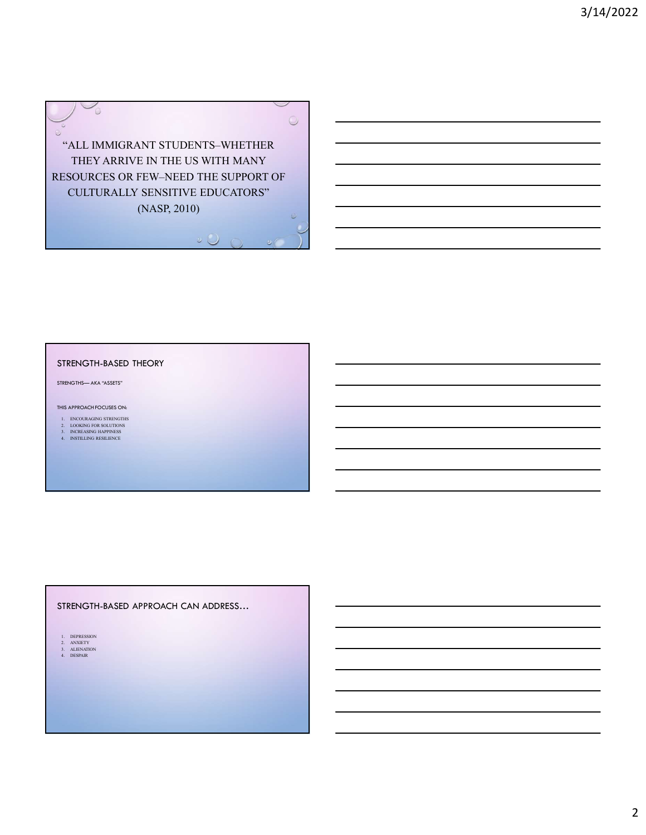

### STRENGTH-BASED THEORY

- 
- 

## STRENGTH-BASED APPROACH CAN ADDRESS… TRENGTH-BASED THEORY<br>
18. APPROACH COLUMB CHAR THEORY<br>
1. DEPOXTMOCH COLUMB CHAR<br>
1. DEPOXTMOCH CHAR THEORY<br>
1. DEPOXTMOCHER CHAR THEORY<br>
1. DEPOXTMOCHER CHAR THEORY<br>
1. DEPOXTMOCHER CHAR THEORY<br>
1. DEPOXTMOCHER CHAR THEOR ENGINES – AKA "ASSITS"<br>
EL DROIDAGNO STRINGIRE<br>
DE LODROID CONTENTING<br>
DE LODROID CONTENTING<br>
DE LODROID CONTENTING<br>
DE LONGIRE<br>
TRENGTH-BASED APPROACH CAN ADDRESS...<br>
LORROID CONTENTING<br>
LODROID CONTENTING<br>
LODROID CONTEN 32. ANNO ACTES<br>
2. ANNO ACTES<br>
2. ANNO ACTES<br>
2. ANNO ACTES<br>
2. ANNO ACTES<br>
2. ANNO ACTES<br>
3. ANNO ACTES<br>
3. ANNO ACTES<br>
3. ANNO ACTES<br>
3. ANNO ACTES<br>
3. ANNO ACTES<br>
3. ANNO ACTES<br>
3. ANNO ACTES<br>
3. ANNO ACTES<br>
3. ANNO ACT ES APPROACH TOCUSES CH<br>
LE DOUGLICA VASSETS<br>
LE DOUGLICA SINCRES<br>
LE DOUGLICA SINCRES<br>
LE ROTILING RESERVED<br>
LE ROTILING RESERVED<br>
LE ROTILING RESERVED APPROACH CAN ADDRESS...<br>
LE ROTILING RESERVED<br>
LE ROTILING RESERVED AP

- 
- 

2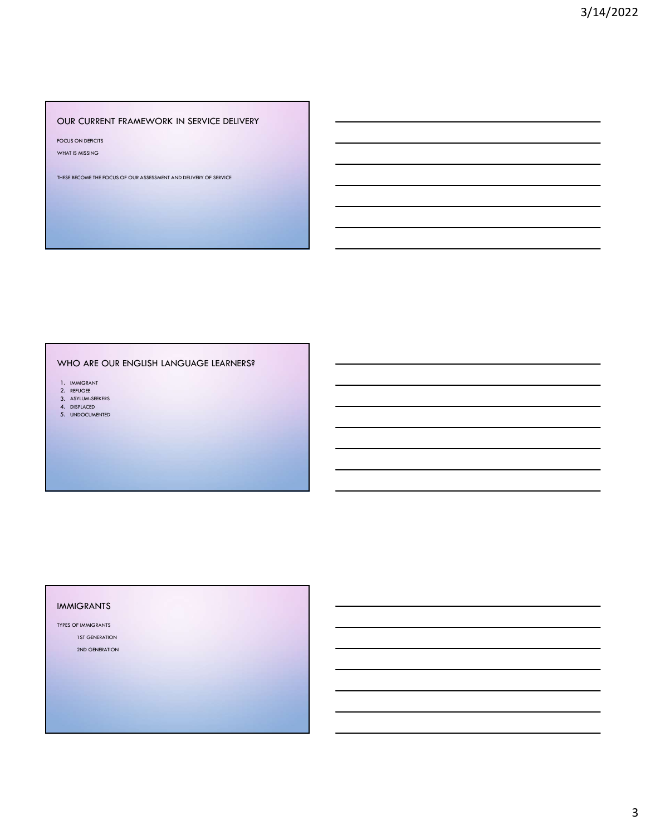### OUR CURRENT FRAMEWORK IN SERVICE DELIVERY

FOCUS ON DEFICITS

WHAT IS MISSING

THESE BECOME THE FOCUS OF OUR ASSESSMENT AND DELIVERY OF SERVICE

### WHO ARE OUR ENGLISH LANGUAGE LEARNERS?

- 
- 1. IMMIGRANT<br>2. REFUGEE<br>3. ASYLUM-SEEKERS<br>4. DISPLACED<br>4. DISPLACED
- 5. UNDOCUMENTED

### IMMIGRANTS

TYPES OF IMMIGRANTS 1ST GENERATION 2ND GENERATION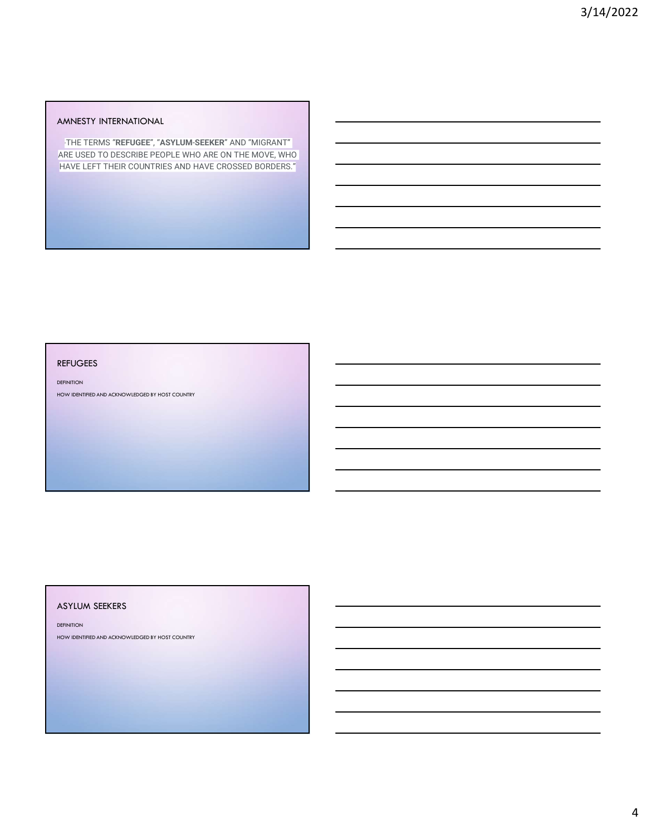### AMNESTY INTERNATIONAL

"THE TERMS "REFUGEE", "ASYLUM-SEEKER" AND "MIGRANT" ARE USED TO DESCRIBE PEOPLE WHO ARE ON THE MOVE, WHO HAVE LEFT THEIR COUNTRIES AND HAVE CROSSED BORDERS."

### REFUGEES

DEFINITION

HOW IDENTIFIED AND ACKNOWLEDGED BY HOST COUNTRY

### ASYLUM SEEKERS

**DEFINITION** 

HOW IDENTIFIED AND ACKNOWLEDGED BY HOST COUNTRY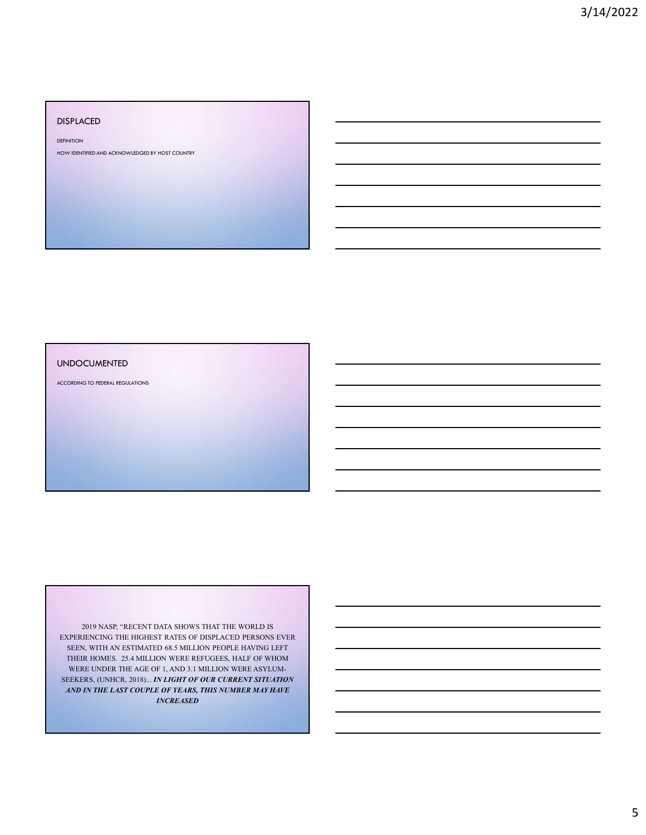### DISPLACED

**DEFINITION** 

HOW IDENTIFIED AND ACKNOWLEDGED BY HOST COUNTRY

### UNDOCUMENTED

ACCORDING TO FEDERAL REGULATIONS

2019 NASP, "RECENT DATA SHOWS THAT THE WORLD IS EXPERIENCING THE HIGHEST RATES OF DISPLACED PERSONS EVER SEEN, WITH AN ESTIMATED 68.5 MILLION PEOPLE HAVING LEFT THEIR HOMES. 25.4 MILLION WERE REFUGEES, HALF OF WHOM WERE UNDER THE AGE OF 1, AND 3.1 MILLION WERE ASYLUM-SEEKERS, (UNHCR, 2018)... IN LIGHT OF OUR CURRENT SITUATION AND IN THE LAST COUPLE OF YEARS, THIS NUMBER MAY HAVE INCREASED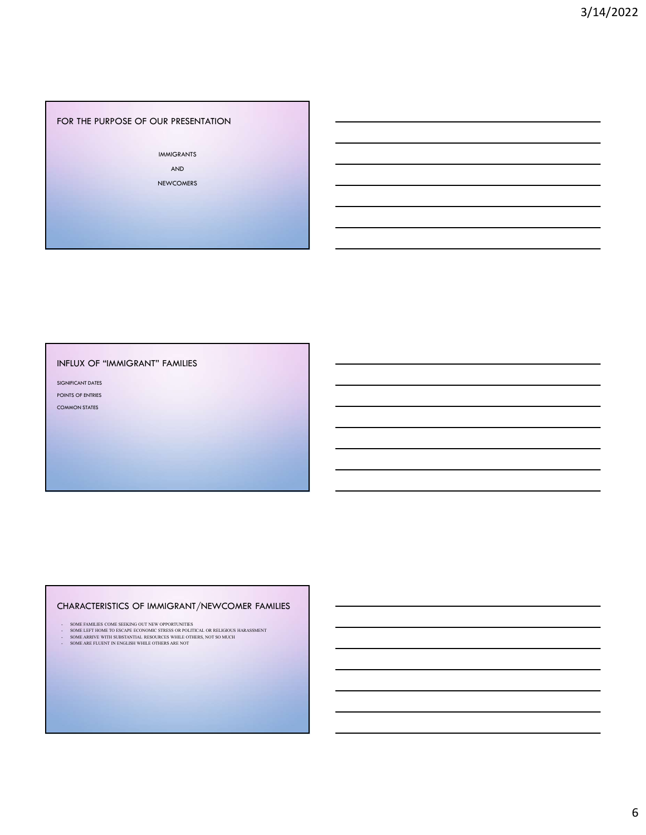### FOR THE PURPOSE OF OUR PRESENTATION

IMMIGRANTS

AND NEWCOMERS

INFLUX OF "IMMIGRANT" FAMILIES

SIGNIFICANT DATES POINTS OF ENTRIES

COMMON STATES

## CHARACTERISTICS OF IMMIGRANT/NEWCOMER FAMILIES -<br>
SOMEONITION<br>
SOMEONITIES COME<br>
SOMEONITIES COME SEEKING OUT NEW OPPORTUNITIES<br>
- SOME INSUES COMES COMES COMES COMES COMES COMES COMES COMES COMES COMES COMES COMES COMES COMES COMES COMES COMES COMES COMES COMES COMES - SPECIFIC STRESS OF THE STRESS OF THE STRESS OF THE STRESS OF THE STRESS OF THE STRESS OF THE STRESS OF THE STRESS OF THE STRESS OF THE STRESS OF THE STRESS OF THE STRESS OF THE STRESS OF THE STRESS OF THE STRESS OF THE S SPECIFIC THE "MANIGRANT" FAMILIES<br>
DENSITY OF PIES<br>
DENSITY OF PIES<br>
DENSITY OF THE SUBSTANTIAL RESOURCES OF INVESTIGATION IN THE SUBSTANTIAL RESOURCES WHILE OUR<br>
DENSITY OF THE SUBSTANTIAL CONTRACT CONTRACT AND CONTRACT O - SOMEON TOWER<br>- SOMEON TOWER<br>- SOMEON TO THE SOMEON TO THE SOMEON TO THE SOMEON TO THE SOMEON TO THE SOMEON TO THE SOMEON TO THE SOMEON TO THE SOMEON TO THE SOMEON TO THE SOMEON TO THE SOMEON TO THE SOMEON TO THE SOMEON T

- 
-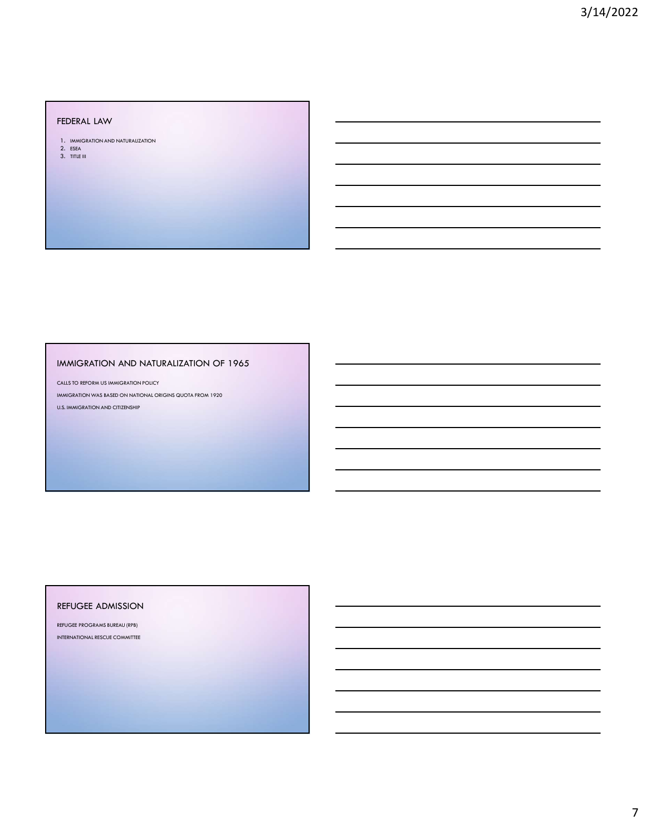FEDERAL LAW<br>1. Immigration and naturalization

2. ESEA 3. TITLE III

### IMMIGRATION AND NATURALIZATION OF 1965

CALLS TO REFORM US IMMIGRATION POLICY

IMMIGRATION WAS BASED ON NATIONAL ORIGINS QUOTA FROM 1920 U.S. IMMIGRATION AND CITIZENSHIP

### REFUGEE ADMISSION

REFUGEE PROGRAMS BUREAU (RPB) INTERNATIONAL RESCUE COMMITTEE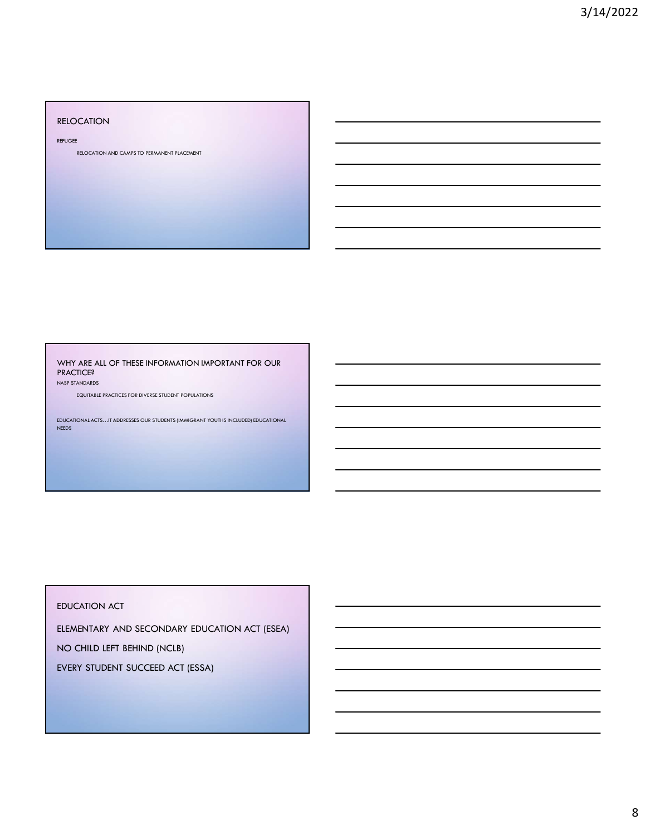### RELOCATION

REFUGEE<br>RELOCATION AND CAMPS TO PERMANENT PLACEMENT

WHY ARE ALL OF THESE INFORMATION IMPORTANT FOR OUR PRACTICE?

NASP STANDARDS

EQUITABLE PRACTICES FOR DIVERSE STUDENT POPULATIONS

EDUCATIONAL ACTS…IT ADDRESSES OUR STUDENTS (IMMIGRANT YOUTHS INCLUDED) EDUCATIONAL NEEDS

### EDUCATION ACT

ELEMENTARY AND SECONDARY EDUCATION ACT (ESEA)

NO CHILD LEFT BEHIND (NCLB)

EVERY STUDENT SUCCEED ACT (ESSA)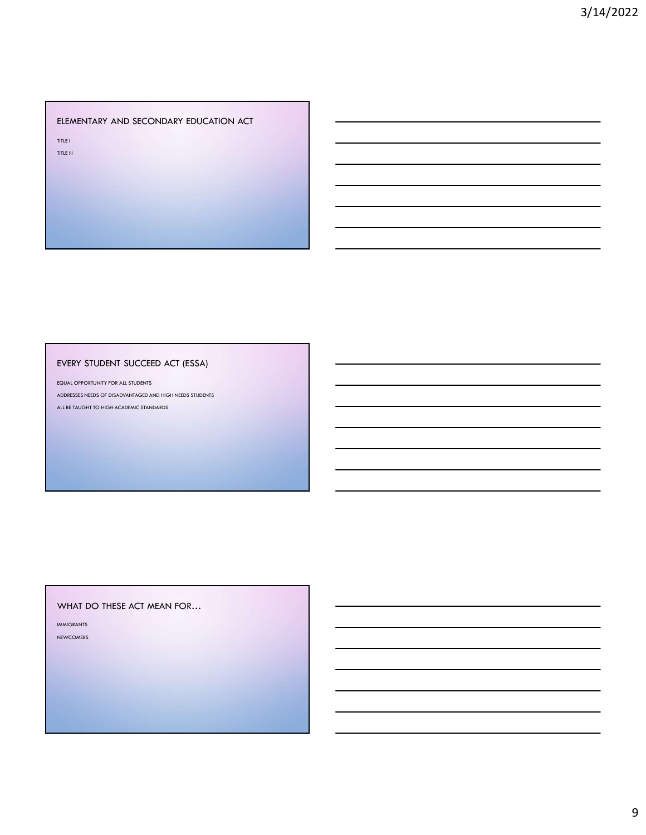### ELEMENTARY AND SECONDARY EDUCATION ACT

TITLE I TITLE III

### EVERY STUDENT SUCCEED ACT (ESSA)

EQUAL OPPORTUNITY FOR ALL STUDENTS ADDRESSES NEEDS OF DISADVANTAGED AND HIGH NEEDS STUDENTS ALL BE TAUGHT TO HIGH ACADEMIC STANDARDS

### WHAT DO THESE ACT MEAN FOR…

IMMIGRANTS NEWCOMERS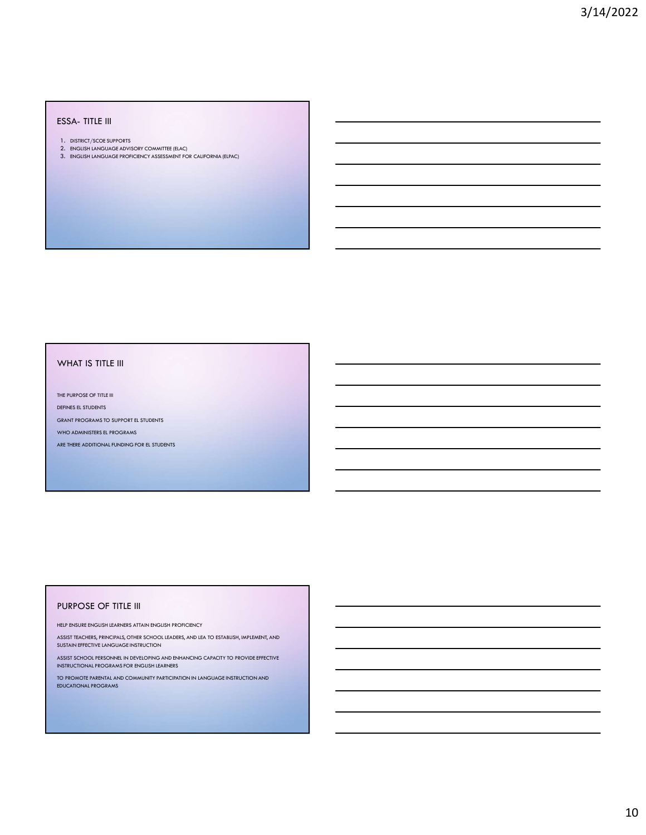- 
- 
- ESSA- TITLE III<br>1. district/scoe supports<br>2. english language advisory committee (elac)<br>3. english language proficiency assessment for california (elpac)

### WHAT IS TITLE III

THE PURPOSE OF TITLE III

DEFINES EL STUDENTS

GRANT PROGRAMS TO SUPPORT EL STUDENTS

WHO ADMINISTERS EL PROGRAMS

ARE THERE ADDITIONAL FUNDING FOR EL STUDENTS

### PURPOSE OF TITLE III

HELP ENSURE ENGLISH LEARNERS ATTAIN ENGLISH PROFICIENCY

ASSIST TEACHERS, PRINCIPALS, OTHER SCHOOL LEADERS, AND LEA TO ESTABLISH, IMPLEMENT, AND SUSTAIN EFFECTIVE LANGUAGE INSTRUCTION

ASSIST SCHOOL PERSONNEL IN DEVELOPING AND ENHANCING CAPACITY TO PROVIDE EFFECTIVE INSTRUCTIONAL PROGRAMS FOR ENGLISH LEARNERS

TO PROMOTE PARENTAL AND COMMUNITY PARTICIPATION IN LANGUAGE INSTRUCTION AND EDUCATIONAL PROGRAMS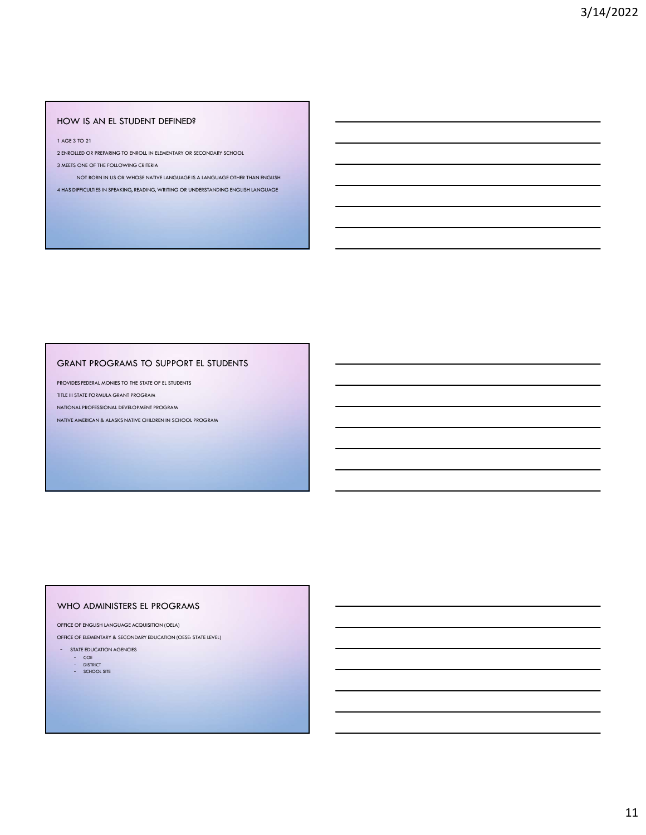### HOW IS AN EL STUDENT DEFINED?

1 AGE 3 TO 21

2 ENROLLED OR PREPARING TO ENROLL IN ELEMENTARY OR SECONDARY SCHOOL

3 MEETS ONE OF THE FOLLOWING CRITERIA

NOT BORN IN US OR WHOSE NATIVE LANGUAGE IS A LANGUAGE OTHER THAN ENGLISH 4 HAS DIFFICULTIES IN SPEAKING, READING, WRITING OR UNDERSTANDING ENGLISH LANGUAGE

### GRANT PROGRAMS TO SUPPORT EL STUDENTS

PROVIDES FEDERAL MONIES TO THE STATE OF EL STUDENTS

TITLE III STATE FORMULA GRANT PROGRAM

NATIONAL PROFESSIONAL DEVELOPMENT PROGRAM

NATIVE AMERICAN & ALASKS NATIVE CHILDREN IN SCHOOL PROGRAM

### WHO ADMINISTERS EL PROGRAMS

OFFICE OF ENGLISH LANGUAGE ACQUISITION (OELA)

OFFICE OF ELEMENTARY & SECONDARY EDUCATION (OESE: STATE LEVEL)

- STATE EDUCATION AGENCIES

- COE<br>- DISTRICT<br>- SCHOOL SITE
- 
-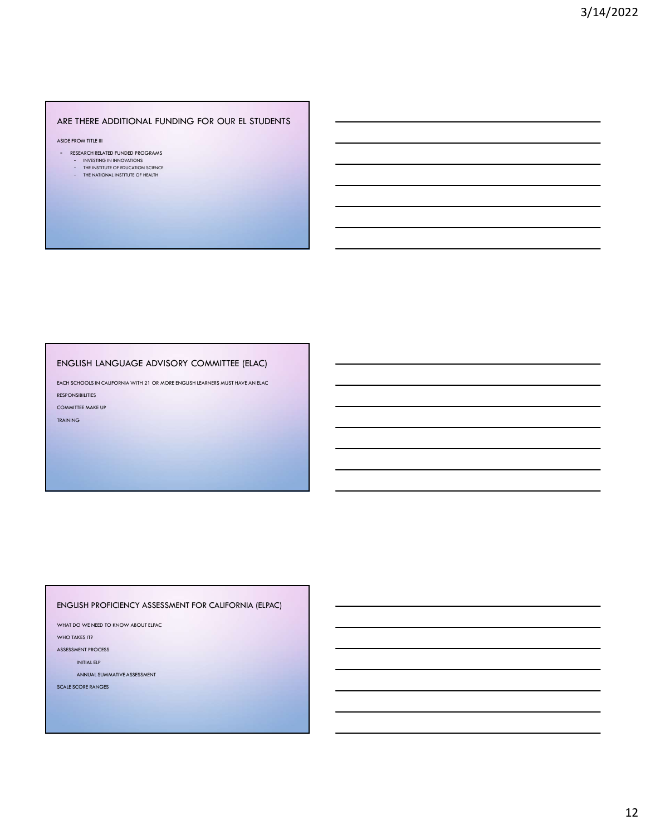### ARE THERE ADDITIONAL FUNDING FOR OUR EL STUDENTS

ASIDE FROM TITLE III

- RESEARCH RELATED FUNDED PROGRAMS
- INVESTING IN INNOVATIONS<br>- THE INSTITUTE OF EDUCATION SCIENCE
- THE NATIONAL INSTITUTE OF HEALTH

ENGLISH LANGUAGE ADVISORY COMMITTEE (ELAC)<br>
EACH SCHOOLS INTERNATIONAL STRANGUAGE ADVISORY<br>
ENGLISH LANGUAGE ADVISORY COMMITTEE (ELAC)<br>
ENGLISH LANGUAGE ADVISORY COMMITTEE (ELAC)<br>
ENGLISH LANGUAGE ADVISORY COMMITTEE (ELAC) RESPONSIBILITIES

COMMITTEE MAKE UP

TRAINING

### ENGLISH PROFICIENCY ASSESSMENT FOR CALIFORNIA (ELPAC)

WHAT DO WE NEED TO KNOW ABOUT ELPAC

WHO TAKES IT?

ASSESSMENT PROCESS

INITIAL ELP

ANNUAL SUMMATIVE ASSESSMENT

SCALE SCORE RANGES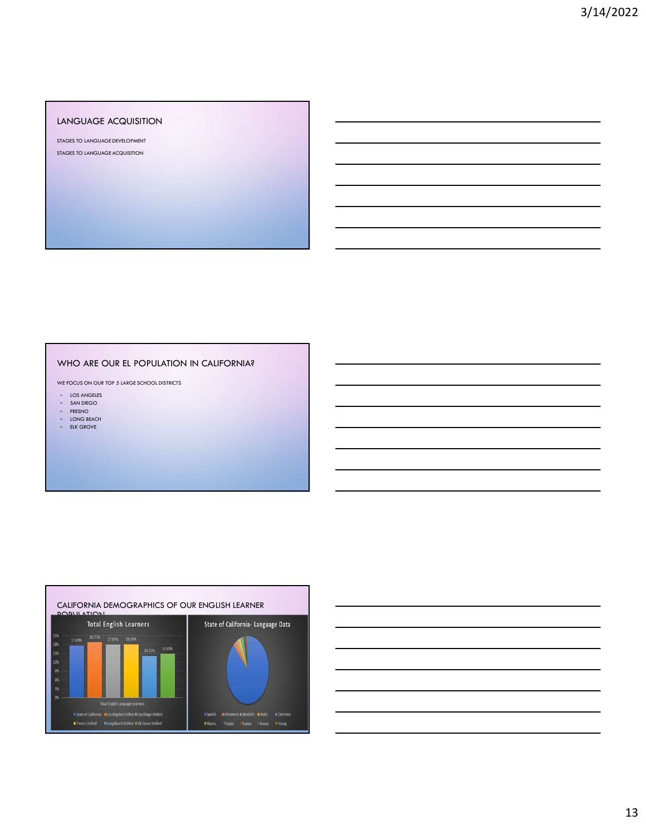### LANGUAGE ACQUISITION

STAGES TO LANGUAGE DEVELOPMENT STAGES TO LANGUAGE ACQUISITION

### WHO ARE OUR EL POPULATION IN CALIFORNIA?

WE FOCUS ON OUR TOP 5 LARGE SCHOOL DISTRICTS

- LOS ANGELES<br>- SAN DIEGO
- FRESNO
- LONG BEACH
- ELK GROVE



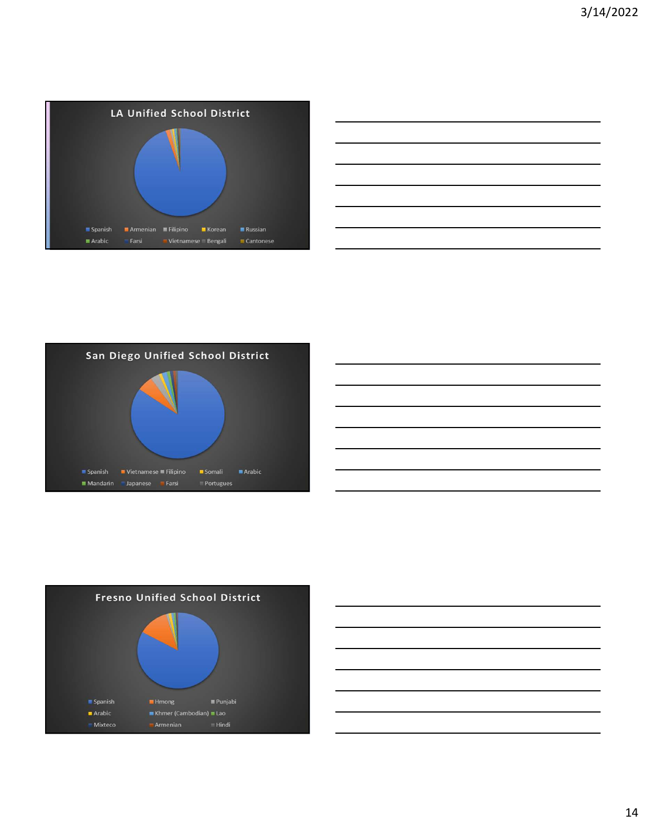

| the control of the control of the control of the control of the control of |  |  |
|----------------------------------------------------------------------------|--|--|
|                                                                            |  |  |
|                                                                            |  |  |
|                                                                            |  |  |
| <u> 2000 - Andrea Andrew Amerikaanse kommunister († 18</u>                 |  |  |
|                                                                            |  |  |
|                                                                            |  |  |







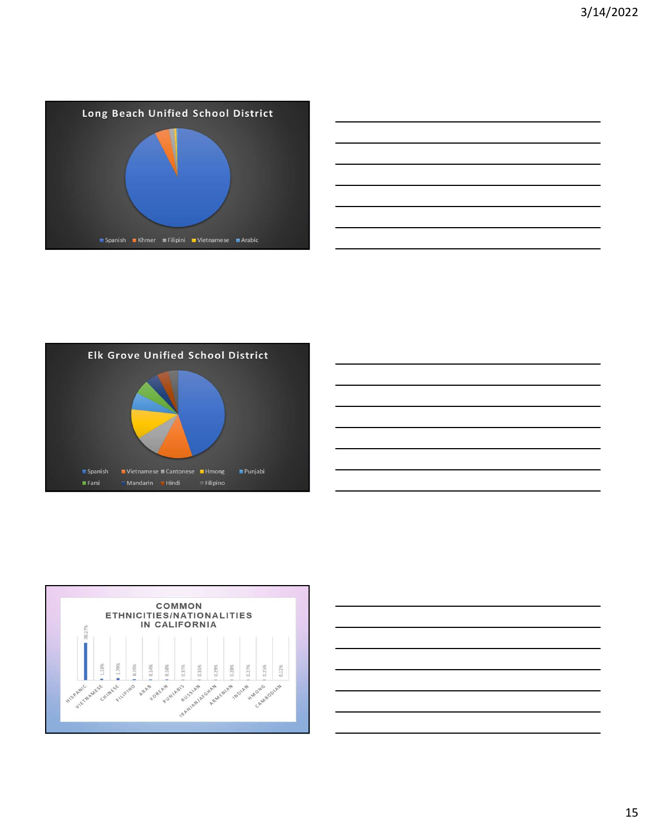

| ,我们也不会有什么?""我们的人,我们也不会有什么?""我们的人,我们也不会有什么?""我们的人,我们也不会有什么?""我们的人,我们也不会有什么?""我们的人 |  |  |
|----------------------------------------------------------------------------------|--|--|
|                                                                                  |  |  |
|                                                                                  |  |  |
|                                                                                  |  |  |
|                                                                                  |  |  |
|                                                                                  |  |  |
|                                                                                  |  |  |
|                                                                                  |  |  |
|                                                                                  |  |  |







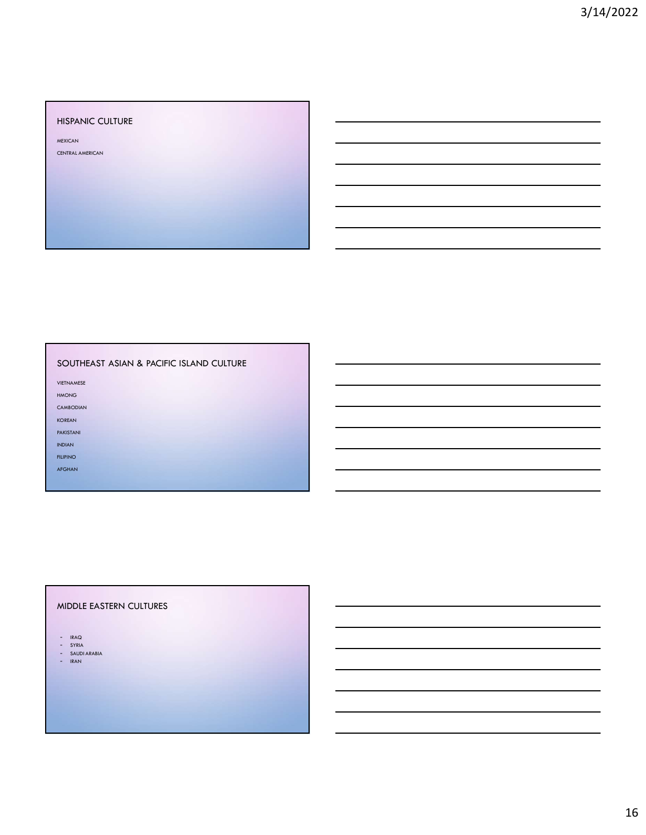### HISPANIC CULTURE

**MEXICAN AND RESIDENT CONTROL** 

CENTRAL AMERICAN

### SOUTHEAST ASIAN & PACIFIC ISLAND CULTURE

AFGHAN AND A CHANNEL AND A CHANNEL AND A CHANNEL AND A CHANNEL AND A CHANNEL AND A CHANNEL AND A CHANNEL AND A

VIETNAMESE

HMONG **Handback and the contract of the contract of the contract of the contract of the contract of the contract of the contract of the contract of the contract of the contract of the contract of the contract of the contra** 

CAMBODIAN

**KOREAN AND INTERNATIONAL CONTRACT OF A STATE OF A STATE OF A STATE OF A STATE OF A STATE OF A STATE OF A STATE** 

PAKISTANI

INDIAN

FILIPINO DE CARDONALES EN 1999, ESPECIALES EN 1999, ESPECIALES EN 1999, ESPECIALES EN 1999, ESPECIALES EN 1999

### MIDDLE EASTERN CULTURES

- IRAQ - IRAQ<br>- SYRIA
- 
- SAUDI ARABIA IRAN
-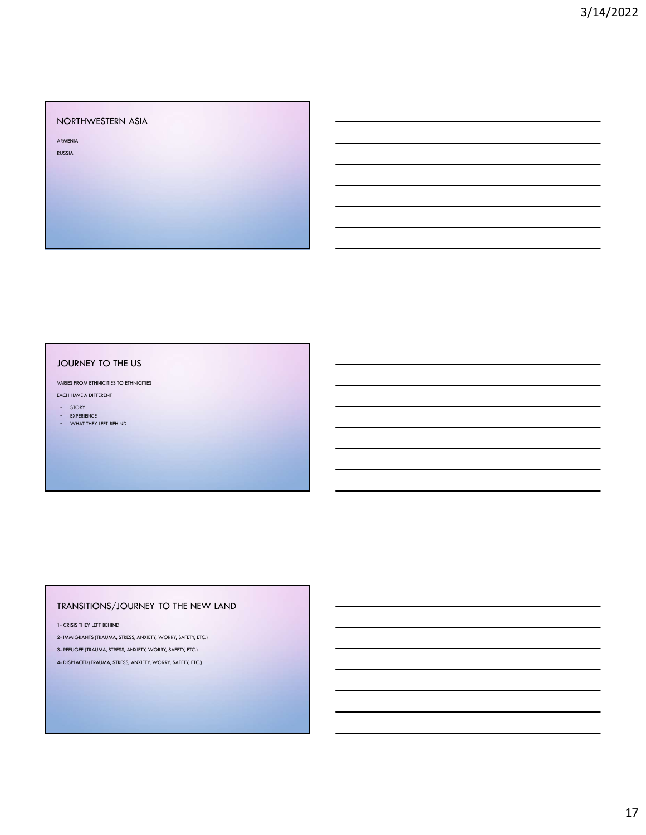### NORTHWESTERN ASIA

RUSSIA AND A CHARLES AND A CHARLES AND A CHARLES AND A CHARLES AND A CHARLES AND A CHARLES AND A CHARLES AND A

ARMENIA

### JOURNEY TO THE US VARIES FROM ETHNICITIES TO ETHNICITIES

- EACH HAVE A DIFFERENT
- STORY
- EXPERIENCE - WHAT THEY LEFT BEHIND

## TRANSITIONS/JOURNEY TO THE NEW LAND JOURNEY TO THE US<br>
VARISTICIAL INFRAEDIES TO ERRORITIS<br>
- SIGNE ORDER CHE THE MEHIND<br>
- SIGNE ORDER CHE MEHIND<br>
- CRISIS THEY LEFT BEHIND<br>
- CRISIS THEY LEFT BEHIND<br>
- CRISIS THEY LEFT BEHIND<br>
- CRISIS THEY LEFT BEHIND ON VANIS FROM EINSCIENCTS (TRAUMA)<br>2- SOORT DEST<br>2- WORRT DEST (LET REHNO)<br>2- WORRT DEST (LET REHNO<br>1. CONSTRUCT TRAUMA, STRESS, ANXIETY, WORRY, SAFETY, ETC.)<br>2- REFUGEE (TRAUMA, STRESS, ANXIETY, WORRY, SAFETY, ETC.)<br>2- DISPL

- 
- 
-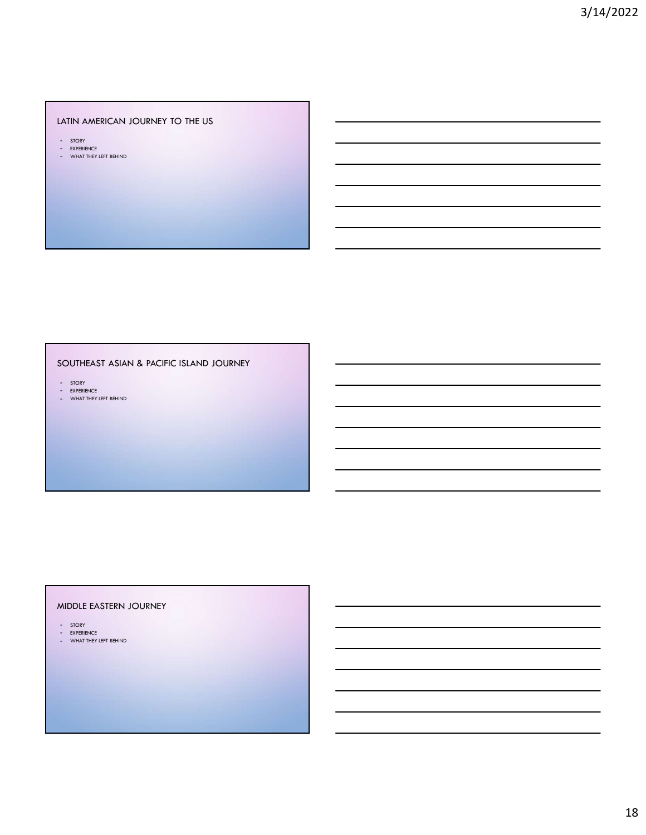### LATIN AMERICAN JOURNEY TO THE US

- STORY<br>- EXPERIENCE<br>- WHAT THEY LEFT BEHIND
- 

### SOUTHEAST ASIAN & PACIFIC ISLAND JOURNEY

– STORY<br>– EXPERIENCE<br>– WHAT THEY LEFT BEHIND

### MIDDLE EASTERN JOURNEY

- 
- STORY EXPERIENCE WHAT THEY LEFT BEHIND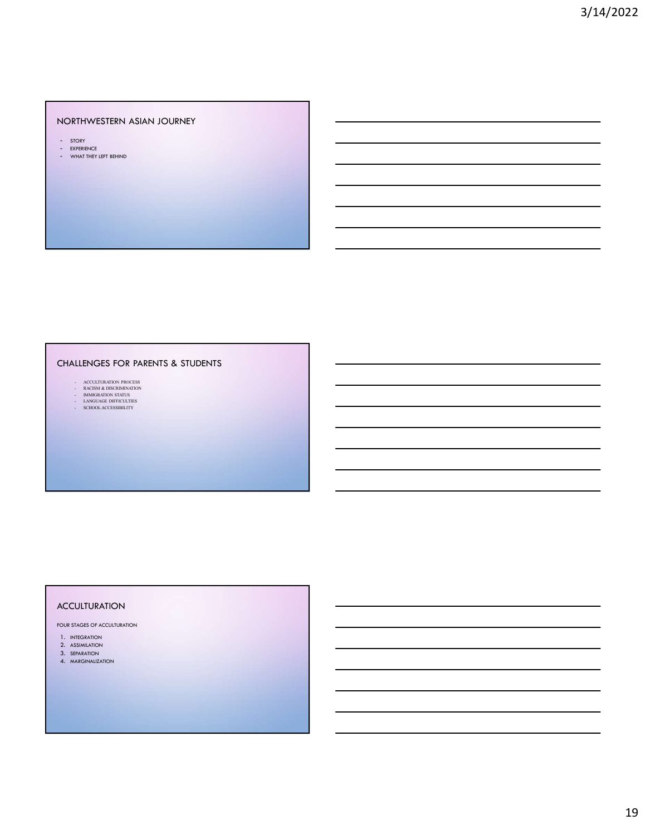### NORTHWESTERN ASIAN JOURNEY

- 
- STORY<br>- EXPERIENCE<br>- WHAT THEY LEFT BEHIND

## CHALLENGES FOR PARENTS & STUDENTS - ACCULTURATION ASIAN JOURNEY<br>
- ACCULTURATION<br>
- ACCULTURATION PROCESS<br>
- ACCULTURATION PROCESS<br>
- ACCULTURATION PROCESS<br>
- ACCULTURATION PROCESS<br>
- ACCULTURATION PROCESS<br>
- ACCULTURATION PROCESS<br>
- ACCULTURATION PROCESS<br> - RACIS<br>
CONTROLLERING<br>
CONTROLLERING<br>
CONTROLLERING BOOK PARENTS & STUDENTS<br>
MACINE CONTROLLERING BOOK<br>
ACCULUMBATION PROCESS<br>
AND ACCULUMBATION PROCESS<br>
ACCULUMBATION PROCESS<br>
ACCULUMBATION PROCESS<br>
ACCULUMBATION PROCESS THE MEST REPORT OF STATUS OF STATUS OF STATUS OF STATUS OF STATUS OF STATUS OF STATUS OF STATUS OF STATUS OF STATUS OF STATUS OF STATUS OF STATUS OF STATUS OF STATUS OF STATUS OF STATUS OF STATUS OF STATUS OF STATUS OF STA - LANGUAGE POR PARENTS & STUDENTS<br>- LANGUAGE POR PARENTS & STUDENTS<br>- LANGUAGE POR PARENTS & STUDENTS<br>- LANGUAGE POR PARENTS & STUDENTS<br>- LANGUAGE POR PARENTS<br>- LANGUAGE PORTURES - SCHOOL ACCESSIBILITY<br>- SCHOOL ACCESSIBILITY<br>- SCHOOL ACCESSIBILITY<br>- SCHOOL ACCESSIBILITY<br>- SCHOOL ACCESSIBILITY<br>- SCHOOL ACCESSIBILITY<br>- SCHOOL ACCESSIBILITY<br>- SCHOOL ACCESSIBILITY

- 
- 
- 
- 

### ACCULTURATION

FOUR STAGES OF ACCULTURATION

- 1. INTEGRATION
- 2. ASSIMILATION
- 3. SEPARATION
- 4. MARGINALIZATION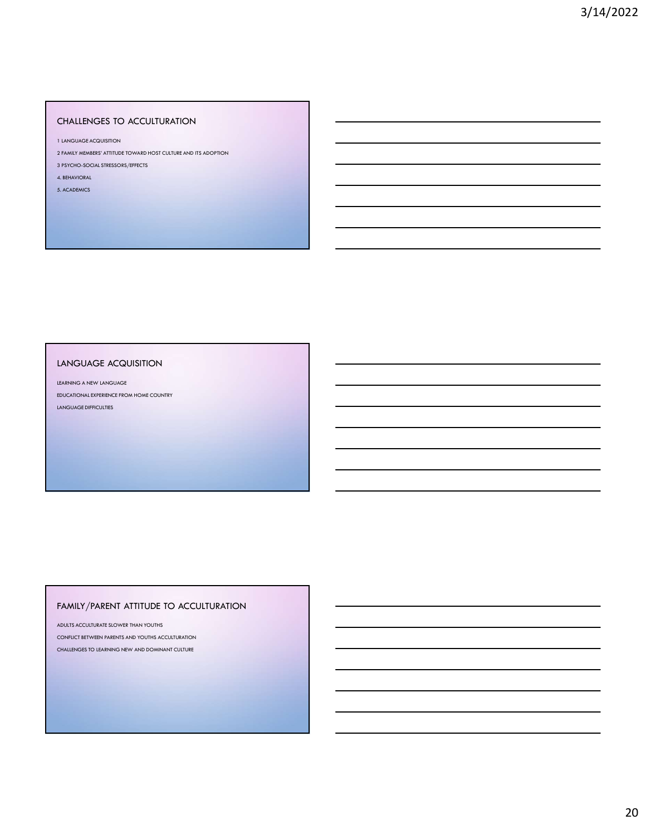### CHALLENGES TO ACCULTURATION

1 LANGUAGE ACQUISITION

- 2 FAMILY MEMBERS' ATTITUDE TOWARD HOST CULTURE AND ITS ADOPTION
- 3 PSYCHO-SOCIAL STRESSORS/EFFECTS

4. BEHAVIORAL

5. ACADEMICS

### LANGUAGE ACQUISITION

LEARNING A NEW LANGUAGE EDUCATIONAL EXPERIENCE FROM HOME COUNTRY LANGUAGE DIFFICULTIES

### FAMILY/PARENT ATTITUDE TO ACCULTURATION

ADULTS ACCULTURATE SLOWER THAN YOUTHS CONFLICT BETWEEN PARENTS AND YOUTHS ACCULTURATION CHALLENGES TO LEARNING NEW AND DOMINANT CULTURE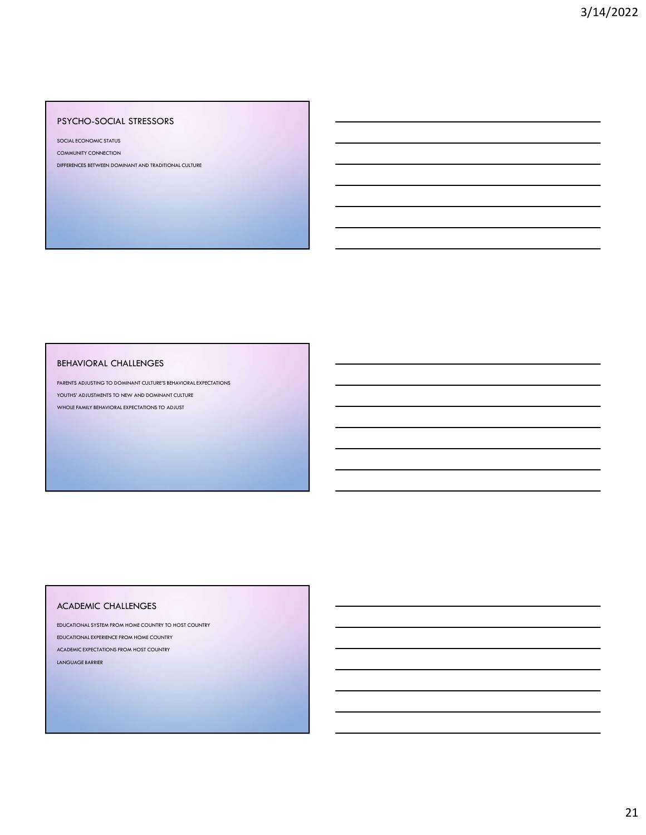### PSYCHO-SOCIAL STRESSORS

SOCIAL ECONOMIC STATUS

COMMUNITY CONNECTION

DIFFERENCES BETWEEN DOMINANT AND TRADITIONAL CULTURE

### BEHAVIORAL CHALLENGES

PARENTS ADJUSTING TO DOMINANT CULTURE'S BEHAVIORAL EXPECTATIONS YOUTHS' ADJUSTMENTS TO NEW AND DOMINANT CULTURE WHOLE FAMILY BEHAVIORAL EXPECTATIONS TO ADJUST

### ACADEMIC CHALLENGES

EDUCATIONAL SYSTEM FROM HOME COUNTRY TO HOST COUNTRY EDUCATIONAL EXPERIENCE FROM HOME COUNTRY ACADEMIC EXPECTATIONS FROM HOST COUNTRY LANGUAGE BARRIER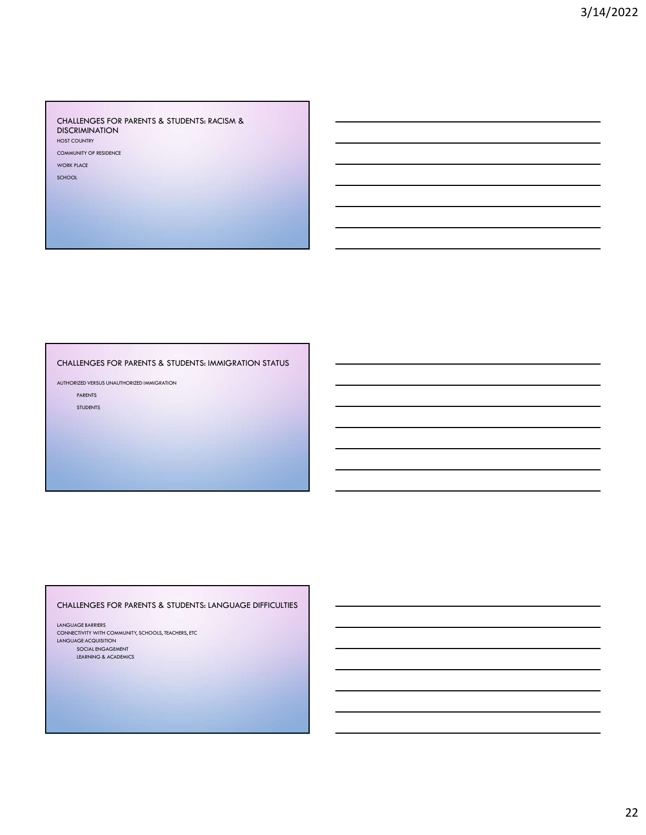### CHALLENGES FOR PARENTS & STUDENTS: RACISM & DISCRIMINATION HOST COUNTRY

COMMUNITY OF RESIDENCE

WORK PLACE

SCHOOL

### CHALLENGES FOR PARENTS & STUDENTS: IMMIGRATION STATUS

AUTHORIZED VERSUS UNAUTHORIZED IMMIGRATION

PARENTS STUDENTS

### CHALLENGES FOR PARENTS & STUDENTS: LANGUAGE DIFFICULTIES

LANGUAGE BARRIERS CONNECTIVITY WITH COMMUNITY, SCHOOLS, TEACHERS, ETC LANGUAGE ACQUISITION SOCIAL ENGAGEMENT LEARNING & ACADEMICS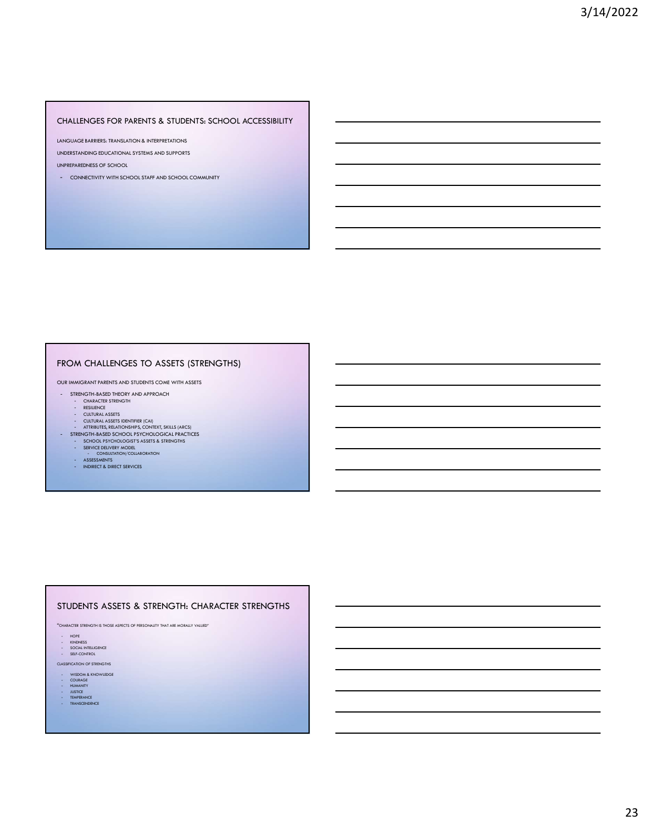### CHALLENGES FOR PARENTS & STUDENTS: SCHOOL ACCESSIBILITY

LANGUAGE BARRIERS: TRANSLATION & INTERPRETATIONS

UNDERSTANDING EDUCATIONAL SYSTEMS AND SUPPORTS

UNPREPAREDNESS OF SCHOOL

- CONNECTIVITY WITH SCHOOL STAFF AND SCHOOL COMMUNITY

### FROM CHALLENGES TO ASSETS (STRENGTHS)

OUR IMMIGRANT PARENTS AND STUDENTS COME WITH ASSETS

- STRENGTH-BASED THEORY AND APPROACH
	- CHARACTER STRENGTH<br>- RESILIENCE<br>- CULTURAL ASSETS
	-
	-
- CULTURAL ASSETS IDENTIFIER (CAI)<br>- ATTRIBUTES, REIATIONSHIPS, CONTEXT, SKILLS (ARCS)<br>- STRENGTH-BASED SCHOOL PSYCHOLOGICAL PRACTICES<br>- SCHOOL PSYCHOLOGIST'S ASSETS & STRENGTHS<br>- SERESSMENTS<br>- CONSULTATION/COLLABORATION<br>-
	-
	-
	-
	-

### STUDENTS ASSETS & STRENGTH: CHARACTER STRENGTHS

"CHARACTER STRENGTH IS THOSE ASPECTS OF PERSONALITY THAT ARE MORALLY VALUED"

- 
- HOPE<br>- KINDNESS<br>- SOCIAL INTELLIGENCE<br>- SELF-CONTROL
- 

CLASSIFICATION OF STRENGTHS

- WISDOM & KNOWLEDGE<br>- COURAGE<br>- HUMANITY<br>- JUSTICE<br>- TEMPERANCE<br>- TEMPERANCE<br>- TEMPERANCE
- 
- 
-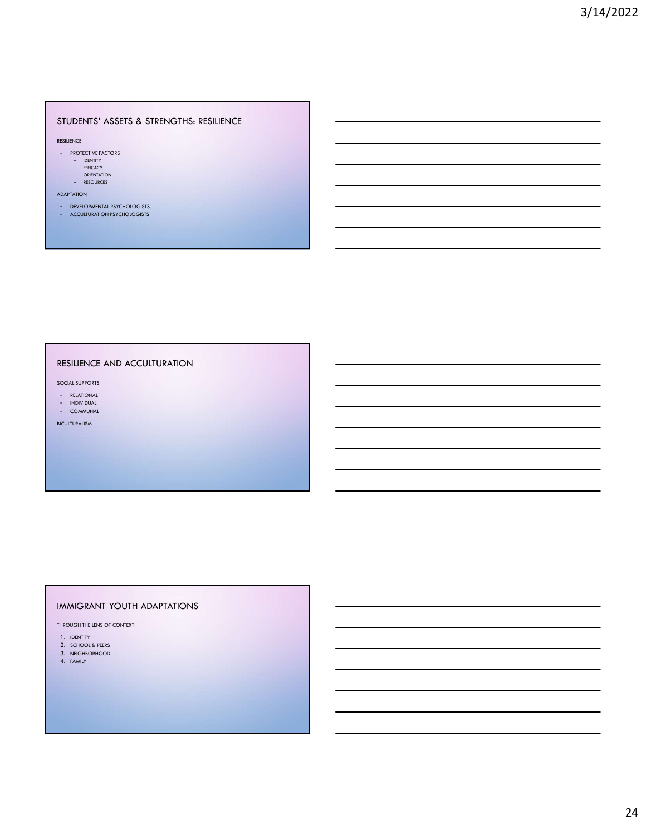### STUDENTS' ASSETS & STRENGTHS: RESILIENCE

RESILIENCE

- **PROTECTIVE FACTORS** 
	- IDENTITY<br>- EFFICACY<br>- ORIENTATION<br>- RESOURCES
	-
	-

ADAPTATION

- DEVELOPMENTAL PSYCHOLOGISTS
- ACCULTURATION PSYCHOLOGISTS

### RESILIENCE AND ACCULTURATION

SOCIAL SUPPORTS

- RELATIONAL INDIVIDUAL
- COMMUNAL

BICULTURALISM

### IMMIGRANT YOUTH ADAPTATIONS

THROUGH THE LENS OF CONTEXT

- 1. IDENTITY
- 2. SCHOOL & PEERS 3. NEIGHBORHOOD
- 4. FAMILY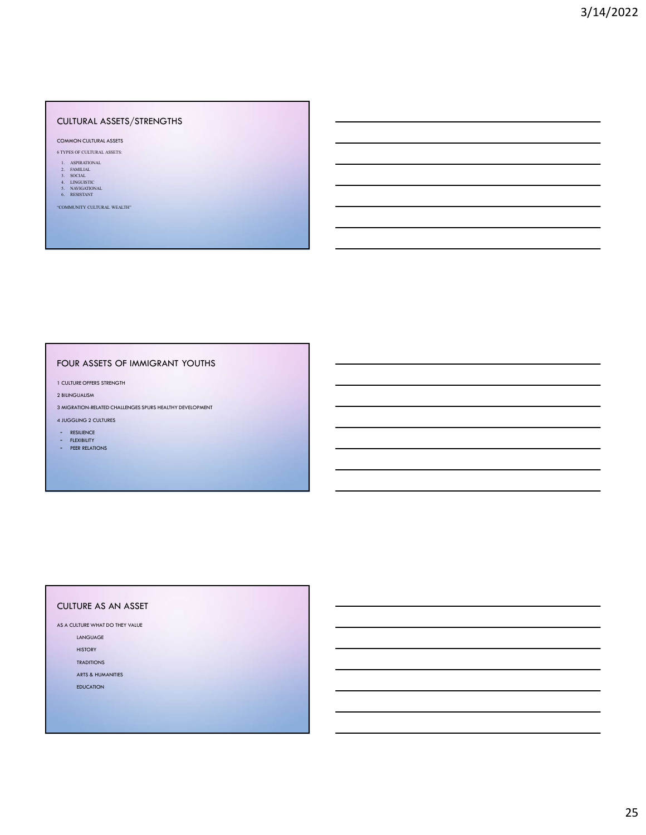### CULTURAL ASSETS/STRENGTHS CULTURAL ASSETS/STRENGTHS<br>
COMMON CULTURAL ASSETS<br>
6 TYPES OF CULTURAL ASSETS<br>
1. ASPRADIONAL<br>
1. ASPRADIONAL<br>
1. ASPIRATIONAL<br>
4. A MARGINE<br>
4. A MARGINE<br>
4. A MARGINE<br>
4. A MARGINE<br>
4. A MARGINE<br>
4. A MARGINE<br>
4. A MARGI 2. FAMILIAL VUITURAL ASSETS/STRENGTHS<br>momonotoliurial assets<br>types of cultural assets<br>1. Aspreachdal<br>1. Social and Contains and Contains and Contains and Contains and Contains and Contains and Contains and Contains and Contains and Co LULTURAL ASSETS/STRENGTHS<br>
DOMON CULTURAL ASSETS<br>
TYPES OF CULTURAL ASSETS<br>
1. ASTRONOMIC<br>
1. NOTEL CULTURAL SERIES<br>
5. PORTLACE<br>
5. NORGADICOLOGICAL SURGERICO<br>
ALISO CONTROL SURGERICOLOGICAL SURGERICO CONTROL<br>
CONSIDERATI CULTURAL ASSETS/STRENGTHS<br>
DAMON CULTURAL ASSETS<br>
TYPES OF CULTURAL ASSETS<br>
LA SHIRADOSAL<br>
LA SHIRADOSAL<br>
LA SHIRADOSAL<br>
SANDIARYONAL SANDARYONAL<br>
SANDIARYONAL SANDARYONAL<br>
SANDIARYONAL WEALTH ULTURAL ASSETS/STRENGTHS<br>
DAMON CULTURAL ASSETS<br>
TYPES OF CLIVERAL ASSETS<br>
1. ASPIRATIONAL<br>
1. DATURAL<br>
1. RESISTANT<br>
1. RESISTANT<br>
1. RESISTANT<br>
1. RESISTANT<br>
2. RESISTANT<br>
COMMONIVY CULTURAL WEALTHE<br>
COMMONIVY CULTURAL W

### COMMON CULTURAL ASSETS

- 
- 
- 
- 
- 

"COMMUNITY CULTURAL WEALTH"

### FOUR ASSETS OF IMMIGRANT YOUTHS

1 CULTURE OFFERS STRENGTH

2 BILINGUALISM

3 MIGRATION-RELATED CHALLENGES SPURS HEALTHY DEVELOPMENT

### 4 JUGGLING 2 CULTURES

- RESILIENCE
- FLEXIBILITY
- PEER RELATIONS

### CULTURE AS AN ASSET

AS A CULTURE WHAT DO THEY VALUE

LANGUAGE

HISTORY **Andreas Andreas Andreas Andreas Andreas Andreas Andreas Andreas Andreas Andreas Andreas Andreas Andre** TRADITIONS

ARTS & HUMANITIES

EDUCATION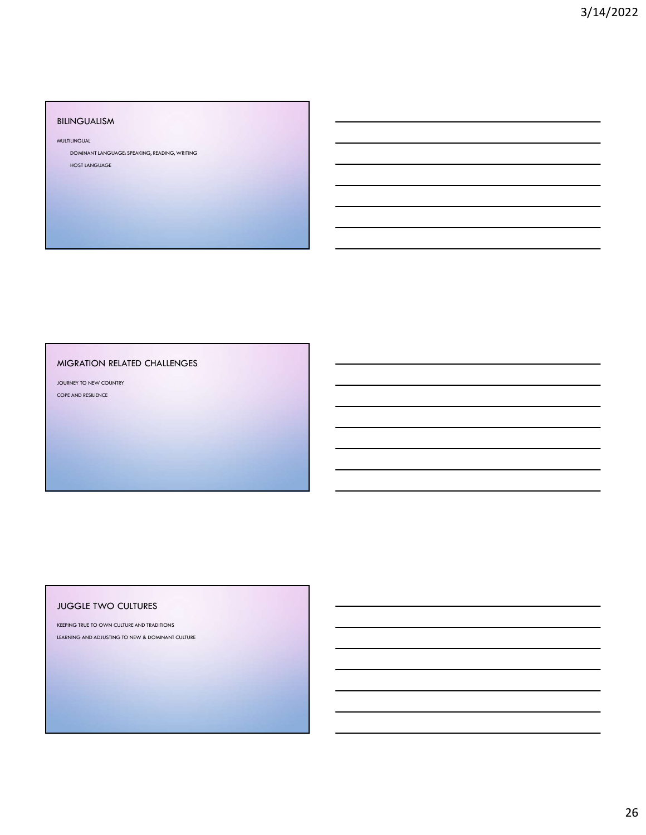### BILINGUALISM

MULTILINGUAL

DOMINANT LANGUAGE: SPEAKING, READING, WRITING

HOST LANGUAGE

### MIGRATION RELATED CHALLENGES

JOURNEY TO NEW COUNTRY COPE AND RESILIENCE

### JUGGLE TWO CULTURES

KEEPING TRUE TO OWN CULTURE AND TRADITIONS LEARNING AND ADJUSTING TO NEW & DOMINANT CULTURE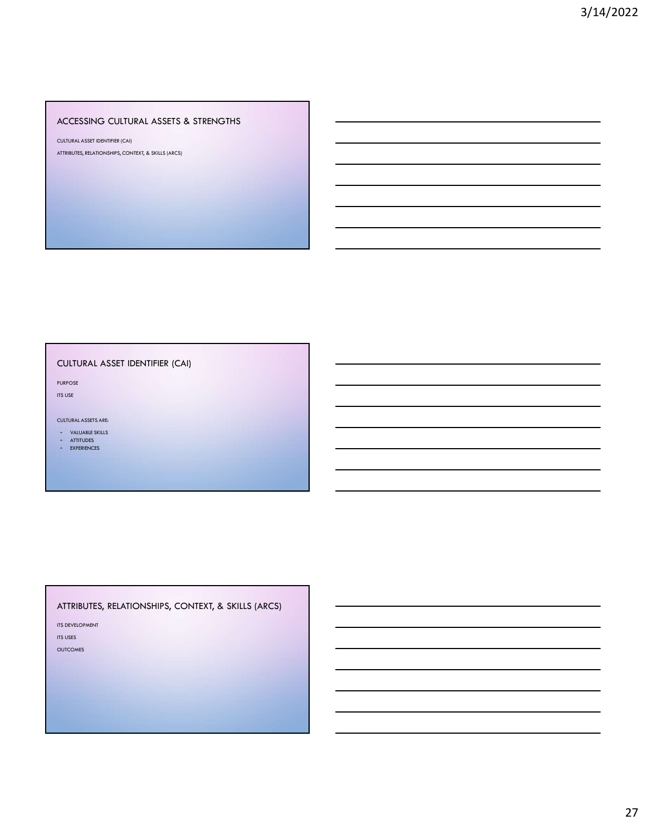### ACCESSING CULTURAL ASSETS & STRENGTHS

CULTURAL ASSET IDENTIFIER (CAI) ATTRIBUTES, RELATIONSHIPS, CONTEXT, & SKILLS (ARCS)

### CULTURAL ASSET IDENTIFIER (CAI)

PURPOSE ITS USE

### CULTURAL ASSETS ARE:

- VALUABLE SKILLS - ATTITUDES

- EXPERIENCES

### ATTRIBUTES, RELATIONSHIPS, CONTEXT, & SKILLS (ARCS)

ITS DEVELOPMENT

ITS USES

OUTCOMES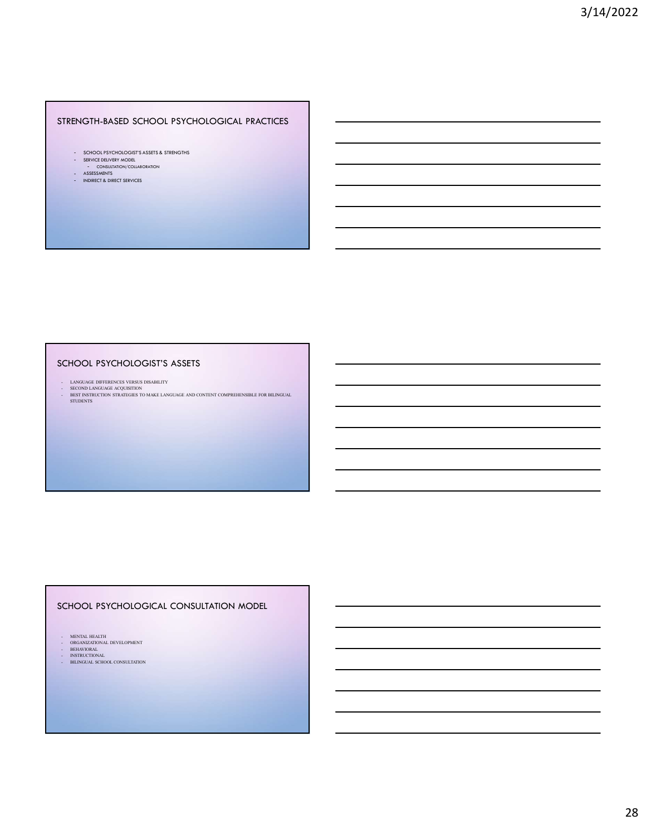### STRENGTH-BASED SCHOOL PSYCHOLOGICAL PRACTICES

- SCHOOL PSYCHOLOGIST'S ASSETS & STRENGTHS
- SERVICE DELIVERY MODEL<br>- CONSULTATION/COLLABORATION
- 
- ASSESSMENTS INDIRECT & DIRECT SERVICES

### SCHOOL PSYCHOLOGIST'S ASSETS

TRENGTH-BASED SCHOOL PSYCHOLOGICAL PRACTICES<br>
- SURGER DISCUSSIONERS<br>
- ASSESSIONERS<br>
- ASSESSIONERS<br>
- ASSESSIONERS<br>
- ASSESSIONERS ASSESS<br>
- LANGUAGE OFFICER ASSESS<br>
- LANGUAGE OFFICERS OF SURGER DISCUSSION CONTROLS AND TRENGTH-BASED SCHOOL PSYCHOLOGICAL PRACTICES<br>  $\therefore$  SCHOOL PROCEDUCES<br>  $\therefore$  SECOND LANGUAGE ACCUISITION<br>  $\therefore$  SECOND LANGUAGE ACCUISITION<br>
SECOND LANGUAGE ACCUISITION<br>
SECOND LANGUAGE ACCUISITION<br>
CHOOL PSYCHOLOGIST'S AS TRENGTH-BASED SCHOOL PSYCHOLOGICAL PRACTICES<br>
- SENSING TO MAKE AND CONTENT ACTOR<br>
- SENSING TO MAKE CONTENT COMPRESSES<br>
- SENSING TO MAKE 2 UNITED TO MAKE LANGUAGE AND CONTENT COMPREHENSIBLE FOR BILINGUAL<br>
CHOOL PSYCHOLOG CHOOL PSYCHOLOGIST'S ASSETS<br>
LEADNIG MORENT COMPRIBING INSURER CONTINUES AND CONTINUES AND CONTINUES AND INTERNATIONAL AND CONTINUES CONTINUES CONTINUES AND INTERNATIONAL AND CONTINUES AND INTERNATIONAL AND CONTINUES AND I - MANUAL DEVELOPMENT<br>- SECRED LANGUAR ANGELINAL DE DE LANGUAIS ANGELES COMPRESSIONER FOR BERSONAL DEVELOPMENT<br>- BERNING PRODUCTIONAL DEVELOPMENT<br>- ORGANIZATION<br>- MENING REVELOPMENT<br>- BERNING REVELOPMENT<br>- BERNING REVELOPME - LOCALIST PAYSPORTS VIRGINISTS<br>
SECOND LANGUAR ANGELING TO MAKE LANGUAR AND CONTENT COMPRIENSIBILE FOR BILENGUAL<br>
STEEDWINE TO THE SECOND TO MAKE LANGUAR AND CONTENT COMPRIENSIBILE FOR BILENGUAL<br>
SERIES AND A BULGARIAN<br>
S - LANDING RIFLERATION<br>
INSTRUCTION<br>
INSTRUCTION<br>
INSTRUCTION<br>
INSTRUCTION<br>
INSTRUCTION<br>
INSTRUCTION<br>
INSTRUCTION<br>
INSTRUCTION<br>
INSTRUCTION<br>
INSTRUCTION<br>
INSTRUCTION<br>
INSTRUCTION<br>
INSTRUCTION<br>
INSTRUCTION<br>
INSTRUCTION<br>
INST EXERCIS DESCRIPTION (PRODUCTATION CONFERENCIES) FOR BUILDEN (PRODUCTATION CONSULTATION CONSULTATION CONSULTATION<br>
BILINGUAL SCHOOL CONSULTATION (PRODUCTATION CONSULTATION CONSULTATION)<br>
CHOOL CONSULTATION (PRODUCTATION CON

### SCHOOL PSYCHOLOGICAL CONSULTATION MODEL

- 
- 
-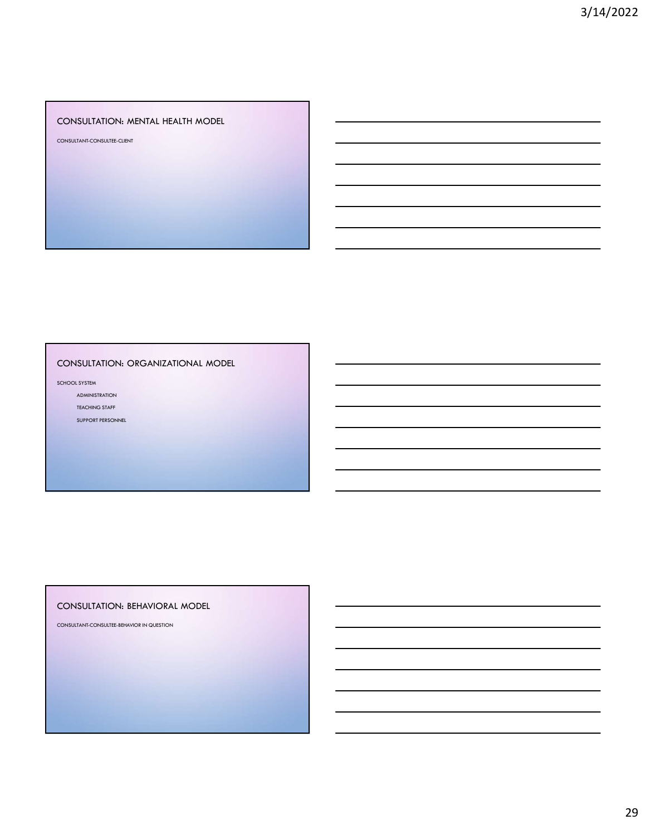### CONSULTATION: MENTAL HEALTH MODEL

CONSULTANT-CONSULTEE-CLIENT

### CONSULTATION: ORGANIZATIONAL MODEL

SCHOOL SYSTEM

ADMINISTRATION

TEACHING STAFF

SUPPORT PERSONNEL

### CONSULTATION: BEHAVIORAL MODEL

CONSULTANT-CONSULTEE-BEHAVIOR IN QUESTION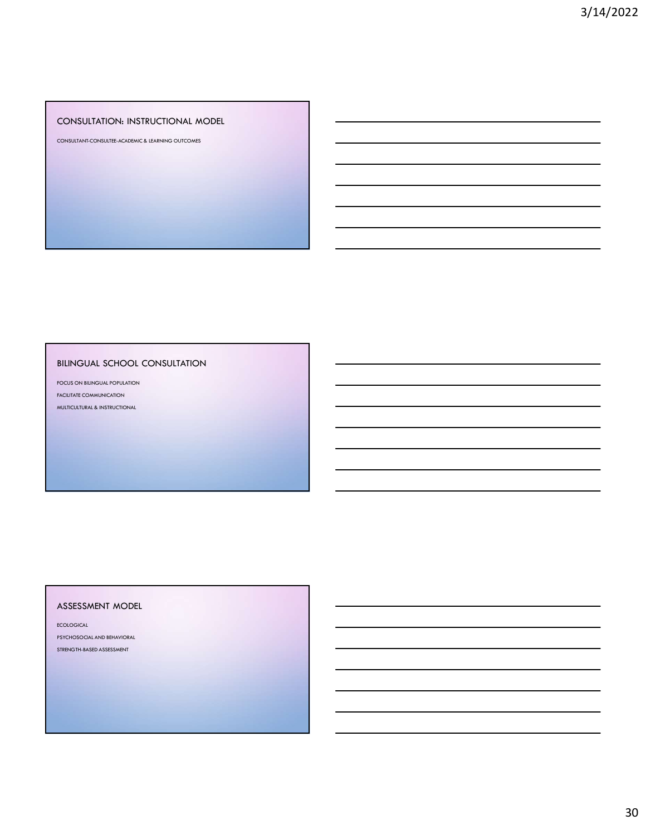### CONSULTATION: INSTRUCTIONAL MODEL

CONSULTANT-CONSULTEE-ACADEMIC & LEARNING OUTCOMES

### BILINGUAL SCHOOL CONSULTATION

FOCUS ON BILINGUAL POPULATION FACILITATE COMMUNICATION MULTICULTURAL & INSTRUCTIONAL

### ASSESSMENT MODEL

ECOLOGICAL PSYCHOSOCIAL AND BEHAVIORAL STRENGTH-BASED ASSESSMENT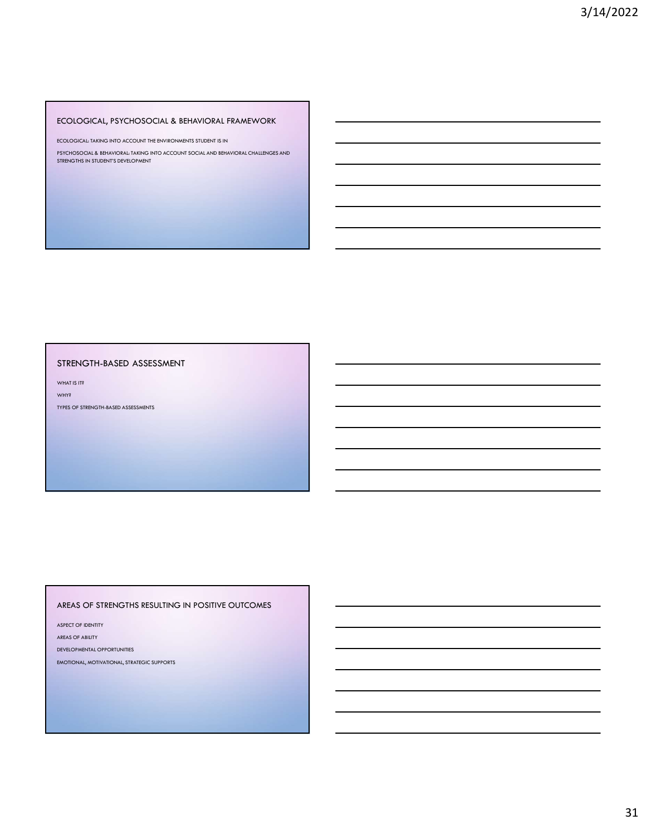### ECOLOGICAL, PSYCHOSOCIAL & BEHAVIORAL FRAMEWORK

ECOLOGICAL: TAKING INTO ACCOUNT THE ENVIRONMENTS STUDENT IS IN

PSYCHOSOCIAL & BEHAVIORAL: TAKING INTO ACCOUNT SOCIAL AND BEHAVIORAL CHALLENGES AND STRENGTHS IN STUDENT'S DEVELOPMENT

### STRENGTH-BASED ASSESSMENT

WHAT IS IT?

WHY?

TYPES OF STRENGTH-BASED ASSESSMENTS

### AREAS OF STRENGTHS RESULTING IN POSITIVE OUTCOMES

ASPECT OF IDENTITY

AREAS OF ABILITY

DEVELOPMENTAL OPPORTUNITIES

EMOTIONAL, MOTIVATIONAL, STRATEGIC SUPPORTS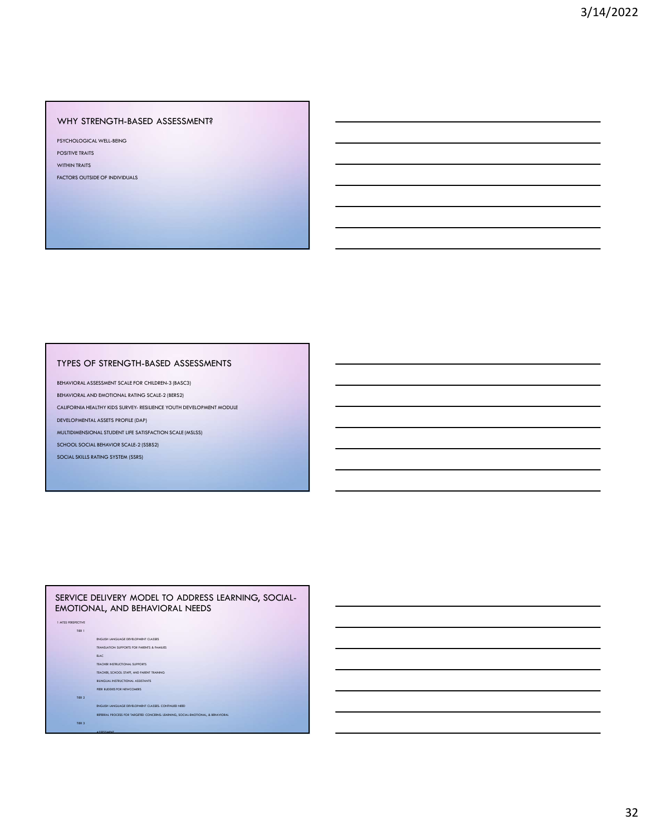### WHY STRENGTH-BASED ASSESSMENT?

PSYCHOLOGICAL WELL-BEING

POSITIVE TRAITS WITHIN TRAITS

FACTORS OUTSIDE OF INDIVIDUALS

# TYPES OF STRENGTH-BASED ASSESSMENTS PISCIONS OUTSIDE OF PROVIDENCE<br>
WITHOUT THIS CONSIDER OF PROVIDING<br>
ENCORR OUTSIDE OF STRENGTH-BASED ASSESSMENTS<br>
ENVIRONMAL ARENGEMENT COLLEGES ON LOCATED ANCHOR AND THE COLLEGES OF STRENGTH-BASED<br>
ENVIRONMAL ARENGEMENT C

BEHAVIORAL ASSESSMENT SCALE FOR CHILDREN-3 (BASC3)

### SERVICE DELIVERY MODEL TO ADDRESS LEARNING, SOCIAL-EMOTIONAL, AND BEHAVIORAL NEEDS

1 MTSS PERSPECTIVE TIER 1 ENGLISH LANGUAGE DEVELOPMENT CLASSES TRANSLATION SUPPORTS FOR PARENTS & FAMILIES EACH AND THE CHARLES CONTINUES OF THE CHARLES CONTINUES OF THE CHARLES CONTINUES OF THE CHARLES CONTINUES. TEACHER INSTRUCTIONAL SUPPORTS TEACHER, SCHOOL STAFF, AND PARENT TRAINING BILINGUAL INSTRUCTIONAL ASSISTANTS PEER BUDDIES FOR NEWCOMERS

TIER 2 Anders and the second control of the second control of the second control of the second control of the s ENGLISH LANGUAGE DEVELOPMENT CLASSES: CONTINUED NEED

REFERRAL PROCESS FOR TARGETED CONCERNS: LEARNING, SOCIAL-EMOTIONAL, & BEHAVIORAL

TIER 3

ASSESSMENT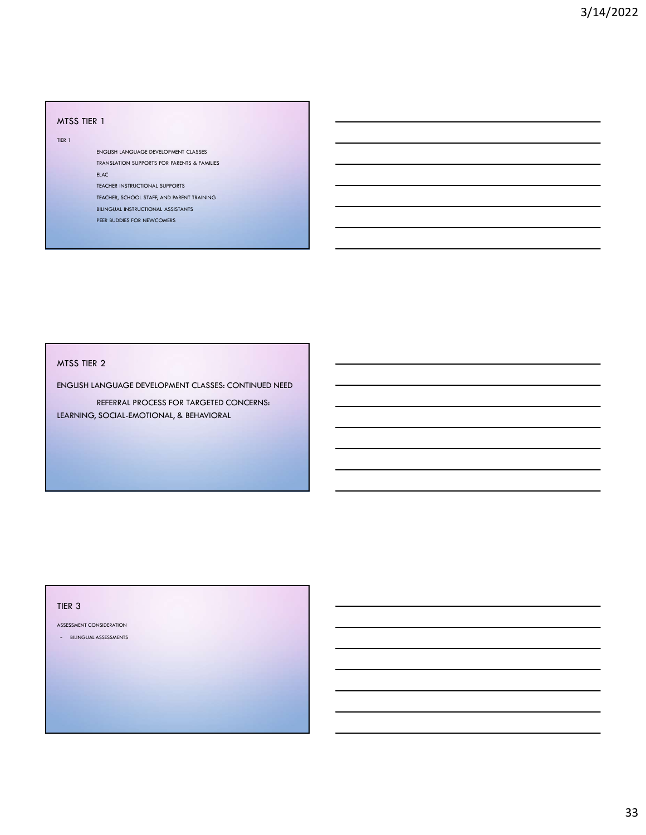### MTSS TIER 1

TIER 1

ENGLISH LANGUAGE DEVELOPMENT CLASSES TRANSLATION SUPPORTS FOR PARENTS & FAMILIES ELAC**C** the contract of the contract of the contract of the contract of the contract of the contract of the contract of the contract of the contract of the contract of the contract of the contract of the contract of the co

TEACHER INSTRUCTIONAL SUPPORTS

TEACHER, SCHOOL STAFF, AND PARENT TRAINING

BILINGUAL INSTRUCTIONAL ASSISTANTS PEER BUDDIES FOR NEWCOMERS

### MTSS TIER 2

ENGLISH LANGUAGE DEVELOPMENT CLASSES: CONTINUED NEED

REFERRAL PROCESS FOR TARGETED CONCERNS: LEARNING, SOCIAL-EMOTIONAL, & BEHAVIORAL

### TIER 3

ASSESSMENT CONSIDERATION

- BILINGUAL ASSESSMENTS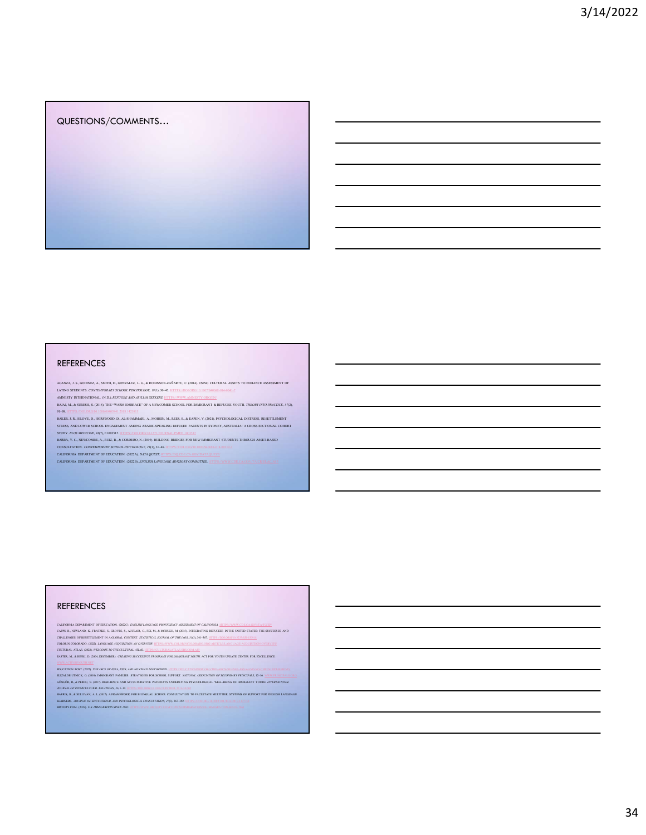### QUESTIONS/COMMENTS…

QUESTIONS/COMMENTS...<br>
REFERENCES<br>
SUR-Y (ANTES AND COMMETATIONS) CONTINUES AND RESERVED CONTINUES AND CONTINUES AND RESERVED CONTINUES AND RESERVED OF THE CONTINUES AND RESERVED OF THE CONTINUES AND RESERVED OF THE CONTI

### REFERENCES

CALIFORNIA DEPARTMENT OF EDUCATION. (2023C). *ENGLISHLER PROFICIENCY ASSESSMENT OF CALIFORNIA*. HTTPS://WWW.CDE.CA.GOV/TA/TG/EP/<br>CAPPA, R. NONLANG, K., FRATZEK, S., GOVORS, S., AUCHAGE, G., FRANCHA, M. (PINE ARREAT FOR ENG CAPPS, R., NEWLAND, K., FRATZKE, S., GROVES, S., AUCLAIR, G., FIX, M., & MCHUGH, M. (2015). INTEGRATING REFUGEES IN THE UNITED STATES: THE SUCCESSES AND CHALLENGES OF RESETTLEMENT IN A GLOBAL CONTEXT. STATISTICAL JOURNAL OF THE IAOS, 31(3), 341–367. HTTPS://DOI.ORG/10.3233/SJI-150918 COLORIN COLORADO. (2022). LANGUAGE ACQUISITION: AN OVERVIEW. HTTPS://WWW.COLORINCOLORADO.ORG/ARTICLE/LANGUAGE-ACQUISITION-OVERVIEW GÜNGÖR, D., & PERDU, N. (2017). RESILIENCE AND ACCULTURATIVE PATHWAYS UNDERLYING PSYCHOLOGICAL WELL-BEING OF IMMIGRANT YOUTH. INTERNATIONAL JOURNAL OF INTERCULTURAL RELATIONS, 56, 1–12. HTTPS://DOI.ORG/10.1016/J.IJINTREL.2016.10.005 HARRIS, B., & SULLIVAN, A. L. (2017). A FRAMEWORK FOR BILINGUAL SCHOOL CONSULTATION TO FACILITATE MULTITIER SYSTEMS OF SUPPORT FOR ENGLISH LANGUAGE LEARNERS. JOURNAL OF EDUCATIONAL AND PSYCHOLOGICAL CONSULTATION, 27(3), 367–392. HTTPS://DOI.ORG/10.1080/10474412.2017.1307758 HISTORY.COM. (2019). U.S. IMMIGRATION SINCE 1965. HTTPS://WWW.HISTORY.COM/TOPICS/IMMIGRATION/US-IMMIGRATION-SINCE-1965

CLUURAL ATLAS, (2023). *WELCOME TO THE CULTURAL ATLAS: H*ITPS-CCLUURALATLAS SIS COM AU:<br>KSITRE, M., REWEL, D. (2000, DICEMBER). *CRLATING SUCCESSIVIL PROGRAIS FOR IMMIGRANT FOUTH. AC*T FOR YOUTH UPBATE CINTER FOR EXCELLENC HDKANDN FORT, ADD. *THE ARC OF DEAL KOM, ADD OD DHE LEFT BEHROL* HOMEON DA OD DE ARC OF DEAL KOM ADD ON DE ARC O<br>HEFALDE-UNGC, G. GRO, DROGRAN FAMILIES STRATIGIES FOR SCHOOL SUPORT. AFFAOLE ASOCHFROV OF BECOMMEN FRANCIPAL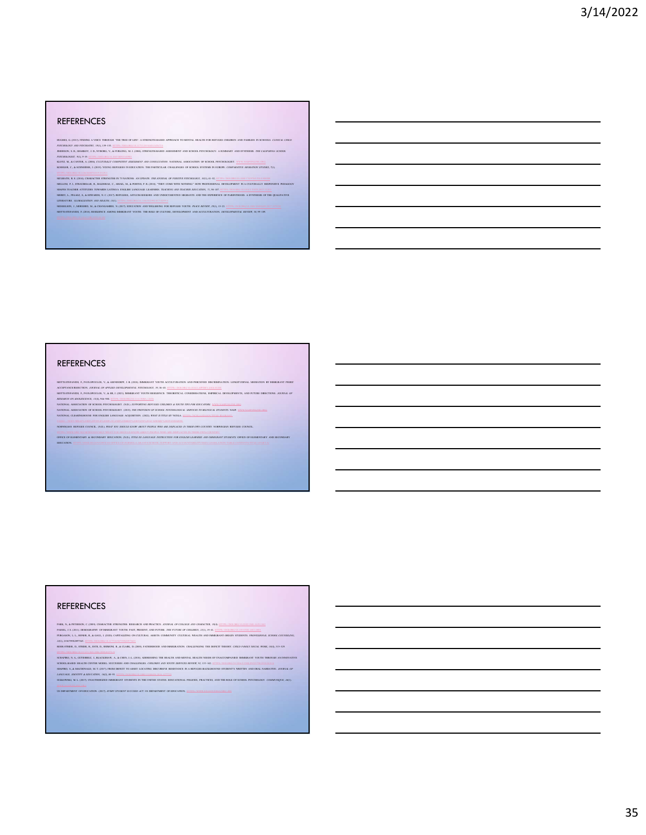DEBENS S. B., BARKET, J.D., NYGORO, K. A FRUGU, K. J., COM, STEDGITH-BAED ASSESSIENT AUD SCHOL PSYCHOLOGY. A SUMMAY AUD SYNTHESS. *THE CAFORNA SERON.*<br>DESCRICION 19, 8-PA (1995). CLEURALLY COMPITENT ASSESSIENT OU CONSULTAN

REFERENCES<br>
NEWS CONTRACTES CONTRACTES AND INTERFERIENT CONTRACTES AND THE UNIT OF THE REPORT OF THE REPORT OF THE REPORT OF THE REPORT OF THE REPORT OF THE REPORT OF THE REPORT OF THE REPORT OF THE REPORT OF THE REPORT O MCGRATH, R. E. (2014). CHARACTER STRENGTHS IN 75 NATIONS: AN UPDATE. THE JOURNAL OF POSITIVE PSYCHOLOGY, 10(1), 41–52. HTTPS://DOI.ORG/10.1080/17439760.2014.888580 MELLOM, P. J., STRAUBHAAR, R., BALDERAS, C., ARIAIL, M., & PORTES, P. R. (2018). "THEY COME WITH NOTHING:" HOW PROFESSIONAL DEVELOPMENT IN A CULTURALLY RESPONSIVE PEDAGOGY SHAPES TEACHER ATTITUDES TOWARDS LATINO/A ENGLISH LANGUAGE LEARNERS. TEACHING AND TEACHER EDUCATION, 71, 98–107. HTTPS://DOI.ORG/10.1016/J.TATE.2017.12.013 MERRY, L., PELAEZ, S., & EDWARDS, N. C. (2017). REFUGEES, ASYLUM-SEEKERS AND UNDOCUMENTED MIGRANTS AND THE EXPERIENCE OF PARENTHOOD: A SYNTHESIS OF THE QUALITATIVE LITERATURE. GLOBALIZATION AND HEALTH, 13(1). HTTPS://DOI.ORG/10.1186/S12992-017-0299-4 MOSSELSON, J., MORSHED, M., & CHANGAMIRE, N. (2017). EDUCATION AND WELLBEING FOR REFUGEE YOUTH. PEACE REVIEW, 29(1), 15–23. HTTPS://DOI.ORG/10.1080/10402659.2017.1272281 MOTTI-STEFANIDI, F. (2018). RESILIENCE AMONG IMMIGRANT YOUTH: THE ROLE OF CULTURE, DEVELOPMENT AND ACCULTURATION. DEVELOPMENTAL REVIEW, 50, 99–109. HTTPS://DOI.ORG/10.1016/J.DR.2018.04.002 NORWEGIAN REFUGEE COUNCIL. (N.D.). WHAT YOU SHOULD KNOW ABOUT PEOPLE WHO ARE DISPLACED IN THEIR OWN COUNTRY. NORWEGIAN REFUGEE COUNCIL. HTTPS://WWW.NRC.NO/NEWS/2019/MAY/WHAT-YOU-SHOULD-KNOW-ABOUT-PEOPLE-WHO-ARE-DISPLACED-IN-THEIR-OWN-COUNTRY/ OFFICE OF ELEMENTARY & SECONDARY EDUCATION. (N.D.). TITLE III: LANGUAGE INSTRUCTION FOR ENGLISH LEARNERS AND IMMIGRANT STUDENTS. OFFICE OF ELEMENTARY AND SECONDARY EDUCATION. HTTPS://OESE.ED.GOV/OFFICES/OFFICE-OF-FORMULA-GRANTS/SCHOOL-SUPPORT-AND-ACCOUNTABILITY/ESSA-LEGISLATION-TABLE-CONTENTS/TITLE-I-PART-A/

### REFERENCES

MOTISTERAUDE F, PAVLOOKULOS, V.A. ASSUODIPS, J.B. (2015), DAMKLOUS VICUT HAT ELECTRICO DE SOLOMANTON EN ENDATON IN DAMKRANT PEERSTRAAT PRESSIDENT DE SOLOMANT PEERSTRAAT DE SOLOMANT PEERSTRAAT DE SOLOMANT DE SOLOMANT DE SOL

BOTISTIKANIS I, PANGONGUN, V., AHU, JOHO BARBANY WOTH REMANDS THROBITICAL CONSIDERINGS, DAPRECAL DEVILOPMENT, AND FUTER DRECTIONS *JOURNAL OF*<br>BERGRAFI ON ADALESCENCE AND MASS. HE ISSUES AND SUPPRED BUTCHE CHARGES A DOUBLI

### REFERENCES

PARK, A RITHRONG COMO COMACTER STEDANTING BESIARCH DAPPENTE ACORA GY COLLEGY AND COLOCYTIC APPLICATION INTERNA<br>PASSIL, 1.5, CHUIN ISLANDA UN BARGANT VOITH PAST, PASSINT, AO BUTAIL *THE FUTRE OF OILINES, 2013, 19-41, 11120-*

GUNDER, N. AUTRIBUZ, J. HACGUNN, A. A CIEN J. L. DIN AUGUSSON THE BAJIN AD MENTAL HEALT NEITH OF DANCOUNDER DE DANCART VOITH THROAD AN INDIVIDUE.<br>SUNDEASAND HALTIK CINTE MODEL SUCCESSE AD CHALINGER. CHIZORY AD IRVIT SERVIS

SULKOWSKI, M. L. (2017). UNAUTHORIZED IMMIGRANT STUDENTS IN THE UNITED STATES: EDUCATIONAL POLICIES, PRACTICES, AND THE ROLE OF SCHOOL PSYCHOLOGY. COMMUNIQUE, 46(1). WWW.NASPONLINE.ORG. 46(1). WWW.NASPONLINE.ORG. 49(1). WW US DEPARTMENT OF EDUCATION. (2017). EVERY STUDENT SUCCEED ACT. US DEPARTMENT OF EDUCATION. HTTPS://WWW.ED.GOV/ESSA?SRC=RN